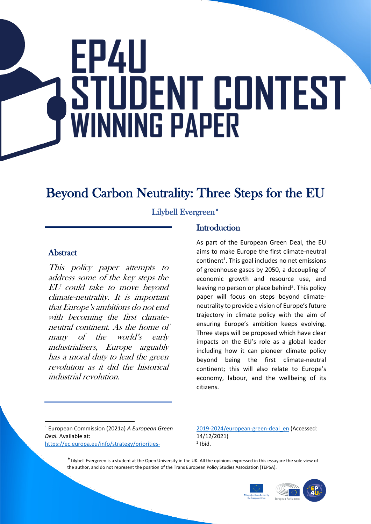# **FP411** STUDENT CONTEST **WINNING PAPER**

# Beyond Carbon Neutrality: Three Steps for the EU

Lilybell Evergreen\*

#### **Abstract**

This policy paper attempts to address some of the key steps the EU could take to move beyond climate-neutrality. It is important that Europe's ambitions do not end with becoming the first climateneutral continent. As the home of many of the world's early industrialisers, Europe arguably has a moral duty to lead the green revolution as it did the historical industrial revolution.

#### **Introduction**

As part of the European Green Deal, the EU aims to make Europe the first climate-neutral continent<sup>1</sup>. This goal includes no net emissions of greenhouse gases by 2050, a decoupling of economic growth and resource use, and leaving no person or place behind<sup>2</sup>. This policy paper will focus on steps beyond climateneutrality to provide a vision of Europe's future trajectory in climate policy with the aim of ensuring Europe's ambition keeps evolving. Three steps will be proposed which have clear impacts on the EU's role as a global leader including how it can pioneer climate policy beyond being the first climate-neutral continent; this will also relate to Europe's economy, labour, and the wellbeing of its citizens.

<sup>1</sup> European Commission (2021a) *A European Green Deal.* Available at: [https://ec.europa.eu/info/strategy/priorities-](https://ec.europa.eu/info/strategy/priorities-2019-2024/european-green-deal_en) [2019-2024/european-green-deal\\_en](https://ec.europa.eu/info/strategy/priorities-2019-2024/european-green-deal_en) (Accessed: 14/12/2021)  $<sup>2</sup>$  Ibid.</sup>

\*Lilybell Evergreen is a student at the Open University in the UK. All the opinions expressed in this essayare the sole view of the author, and do not represent the position of the Trans European Policy Studies Association (TEPSA).

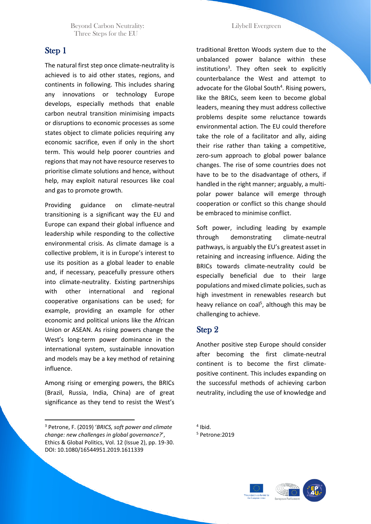Beyond Carbon Neutrality: Lilybell Evergreen Three Steps for the EU

#### Step 1

The natural first step once climate-neutrality is achieved is to aid other states, regions, and continents in following. This includes sharing any innovations or technology Europe develops, especially methods that enable carbon neutral transition minimising impacts or disruptions to economic processes as some states object to climate policies requiring any economic sacrifice, even if only in the short term. This would help poorer countries and regions that may not have resource reserves to prioritise climate solutions and hence, without help, may exploit natural resources like coal and gas to promote growth.

Providing guidance on climate-neutral transitioning is a significant way the EU and Europe can expand their global influence and leadership while responding to the collective environmental crisis. As climate damage is a collective problem, it is in Europe's interest to use its position as a global leader to enable and, if necessary, peacefully pressure others into climate-neutrality. Existing partnerships with other international and regional cooperative organisations can be used; for example, providing an example for other economic and political unions like the African Union or ASEAN. As rising powers change the West's long-term power dominance in the international system, sustainable innovation and models may be a key method of retaining influence.

Among rising or emerging powers, the BRICs (Brazil, Russia, India, China) are of great significance as they tend to resist the West's

traditional Bretton Woods system due to the unbalanced power balance within these institutions<sup>3</sup>. They often seek to explicitly counterbalance the West and attempt to advocate for the Global South<sup>4</sup>. Rising powers, like the BRICs, seem keen to become global leaders, meaning they must address collective problems despite some reluctance towards environmental action. The EU could therefore take the role of a facilitator and ally, aiding their rise rather than taking a competitive, zero-sum approach to global power balance changes. The rise of some countries does not have to be to the disadvantage of others, if handled in the right manner; arguably, a multipolar power balance will emerge through cooperation or conflict so this change should be embraced to minimise conflict.

Soft power, including leading by example through demonstrating climate-neutral pathways, is arguably the EU's greatest asset in retaining and increasing influence. Aiding the BRICs towards climate-neutrality could be especially beneficial due to their large populations and mixed climate policies, such as high investment in renewables research but heavy reliance on coal<sup>5</sup>, although this may be challenging to achieve.

#### Step 2

Another positive step Europe should consider after becoming the first climate-neutral continent is to become the first climatepositive continent. This includes expanding on the successful methods of achieving carbon neutrality, including the use of knowledge and



<sup>3</sup> Petrone, F. (2019) '*BRICS, soft power and climate change: new challenges in global governance?*', Ethics & Global Politics, Vol. 12 (Issue 2), pp. 19-30. DOI: 10.1080/16544951.2019.1611339

<sup>4</sup> Ibid.

<sup>5</sup> Petrone:2019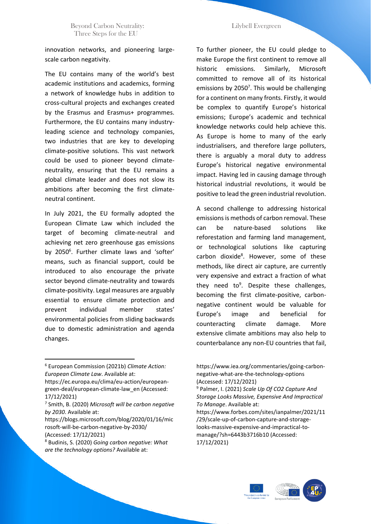innovation networks, and pioneering largescale carbon negativity.

The EU contains many of the world's best academic institutions and academics, forming a network of knowledge hubs in addition to cross-cultural projects and exchanges created by the Erasmus and Erasmus+ programmes. Furthermore, the EU contains many industryleading science and technology companies, two industries that are key to developing climate-positive solutions. This vast network could be used to pioneer beyond climateneutrality, ensuring that the EU remains a global climate leader and does not slow its ambitions after becoming the first climateneutral continent.

In July 2021, the EU formally adopted the European Climate Law which included the target of becoming climate-neutral and achieving net zero greenhouse gas emissions by 2050<sup>6</sup>. Further climate laws and 'softer' means, such as financial support, could be introduced to also encourage the private sector beyond climate-neutrality and towards climate-positivity. Legal measures are arguably essential to ensure climate protection and prevent individual member states' environmental policies from sliding backwards due to domestic administration and agenda changes.

To further pioneer, the EU could pledge to make Europe the first continent to remove all historic emissions. Similarly, Microsoft committed to remove all of its historical emissions by 2050<sup>7</sup>. This would be challenging for a continent on many fronts. Firstly, it would be complex to quantify Europe's historical emissions; Europe's academic and technical knowledge networks could help achieve this. As Europe is home to many of the early industrialisers, and therefore large polluters, there is arguably a moral duty to address Europe's historical negative environmental impact. Having led in causing damage through historical industrial revolutions, it would be positive to lead the green industrial revolution.

A second challenge to addressing historical emissions is methods of carbon removal. These can be nature-based solutions like reforestation and farming land management, or technological solutions like capturing carbon dioxide<sup>8</sup>. However, some of these methods, like direct air capture, are currently very expensive and extract a fraction of what they need to<sup>9</sup>. Despite these challenges, becoming the first climate-positive, carbonnegative continent would be valuable for Europe's image and beneficial for counteracting climate damage. More extensive climate ambitions may also help to counterbalance any non-EU countries that fail,

https://ec.europa.eu/clima/eu-action/europeangreen-deal/european-climate-law\_en (Accessed: 17/12/2021)



<sup>6</sup> European Commission (2021b) *Climate Action: European Climate Law*. Available at:

<sup>7</sup> Smith, B. (2020) *Microsoft will be carbon negative by 2030*. Available at:

https://blogs.microsoft.com/blog/2020/01/16/mic rosoft-will-be-carbon-negative-by-2030/ (Accessed: 17/12/2021)

<sup>8</sup> Budinis, S. (2020) *Going carbon negative: What are the technology options?* Available at:

https://www.iea.org/commentaries/going-carbonnegative-what-are-the-technology-options (Accessed: 17/12/2021)

<sup>9</sup> Palmer, I. (2021) *Scale Up Of CO2 Capture And Storage Looks Massive, Expensive And Impractical To Manage*. Available at:

https://www.forbes.com/sites/ianpalmer/2021/11 /29/scale-up-of-carbon-capture-and-storagelooks-massive-expensive-and-impractical-tomanage/?sh=6443b3716b10 (Accessed: 17/12/2021)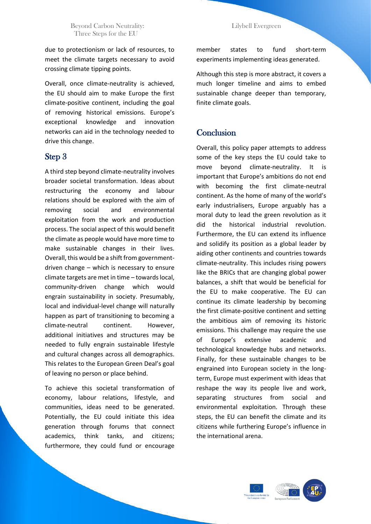Beyond Carbon Neutrality: Lilybell Evergreen Three Steps for the EU

due to protectionism or lack of resources, to meet the climate targets necessary to avoid crossing climate tipping points.

Overall, once climate-neutrality is achieved, the EU should aim to make Europe the first climate-positive continent, including the goal of removing historical emissions. Europe's exceptional knowledge and innovation networks can aid in the technology needed to drive this change.

#### Step 3

A third step beyond climate-neutrality involves broader societal transformation. Ideas about restructuring the economy and labour relations should be explored with the aim of removing social and environmental exploitation from the work and production process. The social aspect of this would benefit the climate as people would have more time to make sustainable changes in their lives. Overall, this would be a shift from governmentdriven change – which is necessary to ensure climate targets are met in time – towards local, community-driven change which would engrain sustainability in society. Presumably, local and individual-level change will naturally happen as part of transitioning to becoming a climate-neutral continent. However, additional initiatives and structures may be needed to fully engrain sustainable lifestyle and cultural changes across all demographics. This relates to the European Green Deal's goal of leaving no person or place behind.

To achieve this societal transformation of economy, labour relations, lifestyle, and communities, ideas need to be generated. Potentially, the EU could initiate this idea generation through forums that connect academics, think tanks, and citizens; furthermore, they could fund or encourage

member states to fund short-term experiments implementing ideas generated.

Although this step is more abstract, it covers a much longer timeline and aims to embed sustainable change deeper than temporary, finite climate goals.

#### **Conclusion**

Overall, this policy paper attempts to address some of the key steps the EU could take to move beyond climate-neutrality. It is important that Europe's ambitions do not end with becoming the first climate-neutral continent. As the home of many of the world's early industrialisers, Europe arguably has a moral duty to lead the green revolution as it did the historical industrial revolution. Furthermore, the EU can extend its influence and solidify its position as a global leader by aiding other continents and countries towards climate-neutrality. This includes rising powers like the BRICs that are changing global power balances, a shift that would be beneficial for the EU to make cooperative. The EU can continue its climate leadership by becoming the first climate-positive continent and setting the ambitious aim of removing its historic emissions. This challenge may require the use of Europe's extensive academic and technological knowledge hubs and networks. Finally, for these sustainable changes to be engrained into European society in the longterm, Europe must experiment with ideas that reshape the way its people live and work, separating structures from social and environmental exploitation. Through these steps, the EU can benefit the climate and its citizens while furthering Europe's influence in the international arena.

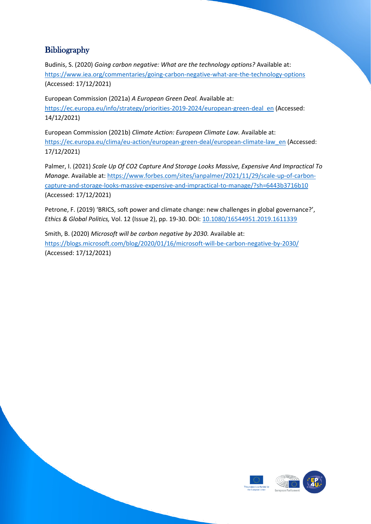### **Bibliography**

Budinis, S. (2020) *Going carbon negative: What are the technology options?* Available at: <https://www.iea.org/commentaries/going-carbon-negative-what-are-the-technology-options> (Accessed: 17/12/2021)

European Commission (2021a) *A European Green Deal.* Available at: [https://ec.europa.eu/info/strategy/priorities-2019-2024/european-green-deal\\_en](https://ec.europa.eu/info/strategy/priorities-2019-2024/european-green-deal_en) (Accessed: 14/12/2021)

European Commission (2021b) *Climate Action: European Climate Law.* Available at: [https://ec.europa.eu/clima/eu-action/european-green-deal/european-climate-law\\_en](https://ec.europa.eu/clima/eu-action/european-green-deal/european-climate-law_en) (Accessed: 17/12/2021)

Palmer, I. (2021) *Scale Up Of CO2 Capture And Storage Looks Massive, Expensive And Impractical To Manage.* Available at: [https://www.forbes.com/sites/ianpalmer/2021/11/29/scale-up-of-carbon](https://www.forbes.com/sites/ianpalmer/2021/11/29/scale-up-of-carbon-capture-and-storage-looks-massive-expensive-and-impractical-to-manage/?sh=6443b3716b10)[capture-and-storage-looks-massive-expensive-and-impractical-to-manage/?sh=6443b3716b10](https://www.forbes.com/sites/ianpalmer/2021/11/29/scale-up-of-carbon-capture-and-storage-looks-massive-expensive-and-impractical-to-manage/?sh=6443b3716b10) (Accessed: 17/12/2021)

Petrone, F. (2019) 'BRICS, soft power and climate change: new challenges in global governance?', *Ethics & Global Politics,* Vol. 12 (Issue 2), pp. 19-30. DOI[: 10.1080/16544951.2019.1611339](https://doi.org/10.1080/16544951.2019.1611339)

Smith, B. (2020) *Microsoft will be carbon negative by 2030.* Available at: <https://blogs.microsoft.com/blog/2020/01/16/microsoft-will-be-carbon-negative-by-2030/> (Accessed: 17/12/2021)